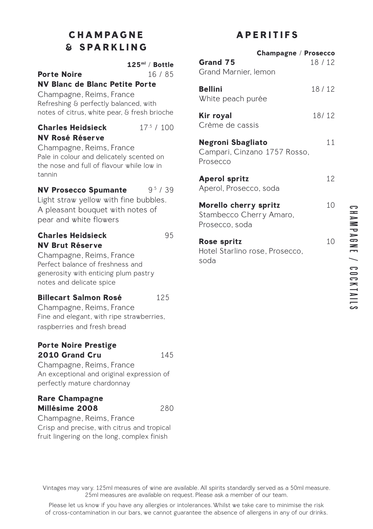# **CHAMPAGNE & SPARKLING**

| <b>Porte Noire</b><br><b>NV Blanc de Blanc Petite Porte</b><br>Champagne, Reims, France<br>Refreshing & perfectly balanced, with<br>notes of citrus, white pear, & fresh brioche       | $125ml$ / Bottle<br>16/85 |
|----------------------------------------------------------------------------------------------------------------------------------------------------------------------------------------|---------------------------|
| <b>Charles Heidsieck</b><br><b>NV Rosé Réserve</b><br>Champagne, Reims, France<br>Pale in colour and delicately scented on<br>the nose and full of flavour while low in<br>tannin      | $175$ / 100               |
| <b>NV Prosecco Spumante</b><br>Light straw yellow with fine bubbles.<br>A pleasant bouquet with notes of<br>pear and white flowers                                                     | 9 <sup>5</sup> / 39       |
| <b>Charles Heidsieck</b><br><b>NV Brut Réserve</b><br>Champagne, Reims, France<br>Perfect balance of freshness and<br>generosity with enticing plum pastry<br>notes and delicate spice | 95                        |
|                                                                                                                                                                                        |                           |

## **Billecart Salmon Rosé** 125

Champagne, Reims, France Fine and elegant, with ripe strawberries, raspberries and fresh bread

## **Porte Noire Prestige 2010 Grand Cru** 145

soda

Champagne, Reims, France An exceptional and original expression of perfectly mature chardonnay

## **Rare Champagne Millésime 2008** 280

Champagne, Reims, France Crisp and precise, with citrus and tropical fruit lingering on the long, complex finish

# **APERITIFS**

|                                                                    | <b>Champagne / Prosecco</b> |
|--------------------------------------------------------------------|-----------------------------|
| Grand 75<br>Grand Marnier, lemon                                   | 18 / 12                     |
| Bellini<br>White peach purée                                       | 18/12                       |
| Kir royal<br>Crème de cassis                                       | 18/12                       |
| Negroni Sbagliato<br>Campari, Cinzano 1757 Rosso,<br>Prosecco      | 11                          |
| <b>Aperol spritz</b><br>Aperol, Prosecco, soda                     | 12                          |
| Morello cherry spritz<br>Stambecco Cherry Amaro,<br>Prosecco, soda | 10                          |
| Rose spritz<br>Hotel Starlino rose, Prosecco,                      | 10                          |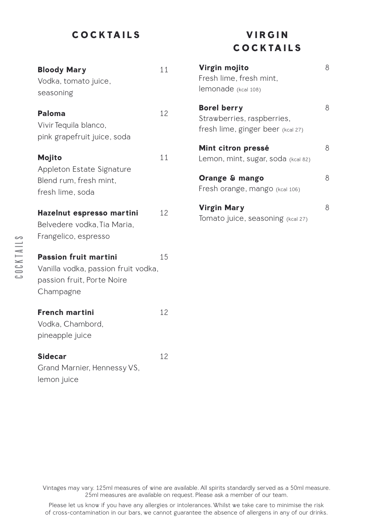## **COCKTAILS**

| <b>Bloody Mary</b><br>Vodka, tomato juice,<br>seasoning                                                        | 11 |
|----------------------------------------------------------------------------------------------------------------|----|
| Paloma<br>Vivir Tequila blanco,<br>pink grapefruit juice, soda                                                 | 12 |
| Mojito<br>Appleton Estate Signature<br>Blend rum, fresh mint,<br>fresh lime, soda                              | 11 |
| Hazelnut espresso martini<br>Belvedere vodka, Tia Maria,<br>Frangelico, espresso                               | 12 |
| <b>Passion fruit martini</b><br>Vanilla vodka, passion fruit vodka,<br>passion fruit, Porte Noire<br>Champagne | 15 |
| <b>French martini</b><br>Vodka, Chambord,<br>pineapple juice                                                   | 12 |
| <b>Sidecar</b>                                                                                                 | 12 |

Grand Marnier, Hennessy VS, lemon juice

# **V I R G I N COCKTAILS**

| Virgin mojito<br>Fresh lime, fresh mint,<br>lemonade (kcal 108)                       | 8 |
|---------------------------------------------------------------------------------------|---|
| <b>Borel berry</b><br>Strawberries, raspberries,<br>fresh lime, ginger beer (kcal 27) | 8 |
| Mint citron pressé<br>Lemon, mint, sugar, soda (kcal 82)                              | 8 |
| Orange & mango<br>Fresh orange, mango (kcal 106)                                      | 8 |
| Virgin Mary<br>Tomato juice, seasoning (kcal 27)                                      | 8 |

COCKTAILS COCKTAILS

> Vintages may vary. 125ml measures of wine are available. All spirits standardly served as a 50ml measure. 25ml measures are available on request. Please ask a member of our team.

Please let us know if you have any allergies or intolerances. Whilst we take care to minimise the risk of cross-contamination in our bars, we cannot guarantee the absence of allergens in any of our drinks.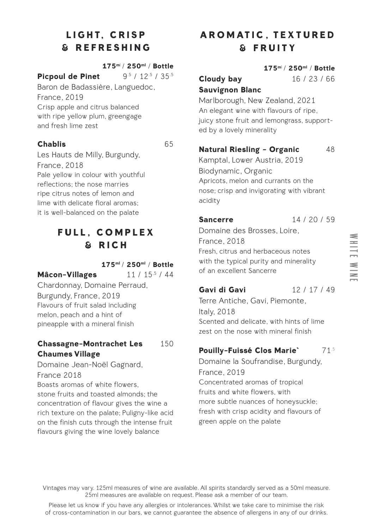# **LIGHT, CRISP & REFRESHING**

### **175m**l / **250ml** / **Bottle**

**Picpoul de Pinet** 9.5 / 12.5 / 35.5

Baron de Badassière, Languedoc, France, 2019 Crisp apple and citrus balanced with ripe yellow plum, greengage and fresh lime zest

## **Chablis** 65

Les Hauts de Milly, Burgundy, France, 2018 Pale yellow in colour with youthful reflections; the nose marries ripe citrus notes of lemon and lime with delicate floral aromas; it is well-balanced on the palate

## **FULL, COMPLEX & RICH**

### **175ml** / **250ml** / **Bottle**

**Mâcon-Villages** 11 / 15<sup>5</sup> / 44

Chardonnay, Domaine Perraud, Burgundy, France, 2019 Flavours of fruit salad including melon, peach and a hint of pineapple with a mineral finish

## **Chassagne-Montrachet Les** 150 **Chaumes Village**

Domaine Jean-Noël Gagnard, France 2018 Boasts aromas of white flowers, stone fruits and toasted almonds; the concentration of flavour gives the wine a rich texture on the palate; Puligny-like acid on the finish cuts through the intense fruit

flavours giving the wine lovely balance

# **AROMATIC, TEXTURED & FRUITY**

#### **175m**l / **250ml** / **Bottle**

**Cloudy bay** 16 / 23 / 66 **Sauvignon Blanc**

Marlborough, New Zealand, 2021 An elegant wine with flavours of ripe, juicy stone fruit and lemongrass, supported by a lovely minerality

## **Natural Riesling - Organic** 48

Kamptal, Lower Austria, 2019 Biodynamic, Organic Apricots, melon and currants on the nose; crisp and invigorating with vibrant acidity

**Sancerre** 14 / 20 / 59 Domaine des Brosses, Loire,

France, 2018 Fresh, citrus and herbaceous notes with the typical purity and minerality of an excellent Sancerre

## **Gavi di Gavi** 12 / 17 / 49

Terre Antiche, Gavi, Piemonte, Italy, 2018 Scented and delicate, with hints of lime zest on the nose with mineral finish

## **Pouilly-Fuissé Clos Marie`** 71.5

Domaine la Soufrandise, Burgundy, France, 2019 Concentrated aromas of tropical fruits and white flowers, with more subtle nuances of honeysuckle; fresh with crisp acidity and flavours of green apple on the palate

hite w ine

w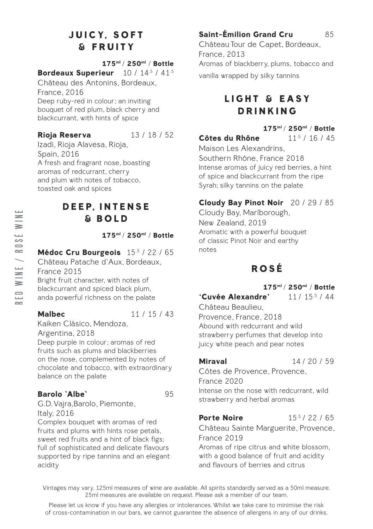# **JUICY, SOFT & FRUITY**

### **175ml** / **250ml** / **Bottle**

## **Bordeaux Superieur** 10 / 14.5 / 41.5

Château des Antonins, Bordeaux, France, 2016 Deep ruby-red in colour; an inviting bouquet of red plum, black cherry and blackcurrant, with hints of spice

**Rioja Reserva** 13 / 18 / 52

Izadi, Rioja Alavesa, Rioja, Spain, 2016 A fresh and fragrant nose, boasting aromas of redcurrant, cherry and plum with notes of tobacco, toasted oak and spices

## **D E E P, I N T E N S E & BOLD**

**175ml** / **250ml** / **Bottle**

## **Médoc Cru Bourgeois** 15.5 / 22 / 65

Château Patache d'Aux, Bordeaux, France 2015 Bright fruit character, with notes of blackcurrant and spiced black plum, anda powerful richness on the palate

**Malbec** 11 / 15 / 43

#### Kaiken Clásico, Mendoza, Argentina, 2018 Deep purple in colour; aromas of red fruits such as plums and blackberries

on the nose, complemented by notes of chocolate and tobacco, with extraordinary balance on the palate

## **Barolo `Albe`** 95

G.D. Vajra,Barolo, Piemonte, Italy, 2016

Complex bouquet with aromas of red fruits and plums with hints rose petals, sweet red fruits and a hint of black figs; full of sophisticated and delicate flavours supported by ripe tannins and an elegant acidity

## **Saint-Émilion Grand Cru** 85

Château Tour de Capet, Bordeaux, France, 2013 Aromas of blackberry, plums, tobacco and vanilla wrapped by silky tannins

# **LIGHT & EASY DRINKING**

## **175ml** / **250ml** / **Bottle**

**Côtes du Rhône** 11.5 / 16 / 45 Maison Les Alexandrins, Southern Rhône, France 2018 Intense aromas of juicy red berries, a hint of spice and blackcurrant from the ripe Syrah; silky tannins on the palate

## **Cloudy Bay Pinot Noir** 20 / 29 / 85

Cloudy Bay, Marlborough, New Zealand, 2019 Aromatic with a powerful bouquet of classic Pinot Noir and earthy notes

# **ROSÉ**

**175ml** / **250ml** / **Bottle**

## **'Cuvée Alexandre'** 11 / 15.5 / 44

Château Beaulieu, Provence, France, 2018 Abound with redcurrant and wild strawberry perfumes that develop into juicy white peach and pear notes

**Miraval** 14/20/59

Côtes de Provence, Provence, France 2020 Intense on the nose with redcurrant, wild strawberry and herbal aromas

## **Porte Noire** 15.5/22/65

Château Sainte Marguerite, Provence, France 2019

Aromas of ripe citrus and white blossom, with a good balance of fruit and acidity and flavours of berries and citrus

Vintages may vary. 125ml measures of wine are available. All spirits standardly served as a 50ml measure. 25ml measures are available on request. Please ask a member of our team.

Please let us know if you have any allergies or intolerances. Whilst we take care to minimise the risk of cross-contamination in our bars, we cannot guarantee the absence of allergens in any of our drinks.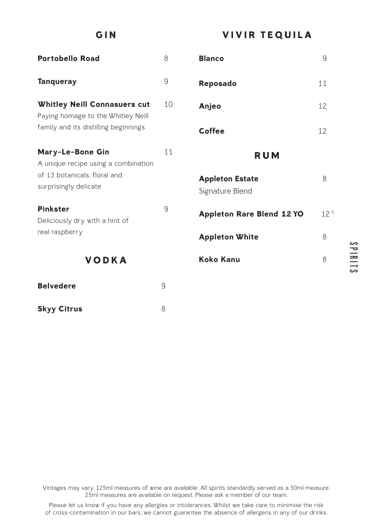**GIN**

**VIVIR TEQUILA**

| <b>Portobello Road</b>                                                    | 8  | <b>Blanco</b>                             | 9         |
|---------------------------------------------------------------------------|----|-------------------------------------------|-----------|
| <b>Tanqueray</b>                                                          | 9  | <b>Reposado</b>                           | 11        |
| <b>Whitley Neill Connasuers cut</b><br>Paying homage to the Whitley Neill | 10 | Anjeo                                     | 12        |
| family and its distilling beginnings                                      |    | Coffee                                    | 12        |
| Mary-Le-Bone Gin<br>A unique recipe using a combination                   | 11 | <b>RUM</b>                                |           |
| of 13 botanicals; floral and<br>surprisingly delicate                     |    | <b>Appleton Estate</b><br>Signature Blend | 8         |
| <b>Pinkster</b><br>Deliciously dry with a hint of                         | 9  | <b>Appleton Rare Blend 12 YO</b>          | $12^{.5}$ |
| real raspberry                                                            |    | <b>Appleton White</b>                     | 8         |
| <b>VODKA</b>                                                              |    | <b>Koko Kanu</b>                          | 8         |
| <b>Belvedere</b>                                                          | 9  |                                           |           |
| <b>Skyy Citrus</b>                                                        | 8  |                                           |           |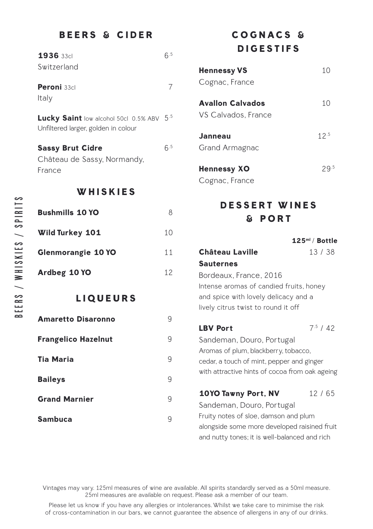## **BEERS & CIDER**

| 1936 33cl<br>Switzerland                                                         | 6.5 |
|----------------------------------------------------------------------------------|-----|
| Peroni 33cl<br>Italy                                                             | 7   |
| Lucky Saint low alcohol 50cl 0.5% ABV 5.5<br>Unfiltered larger, golden in colour |     |
| <b>Sassy Brut Cidre</b><br>Château de Sassy, Normandy,<br>France                 | 6.5 |
| WHISKIES                                                                         |     |
| <b>Bushmills 10 YO</b>                                                           | 8   |
| Wild Turkey 101                                                                  | 10  |
| <b>Glenmorangie 10 YO</b>                                                        | 11  |
| Ardbeg 10 YO                                                                     | 12  |
| <b>LIQUEURS</b>                                                                  |     |
| <b>Amaretto Disaronno</b>                                                        | 9   |
| <b>Frangelico Hazelnut</b>                                                       | 9   |
| <b>Tia Maria</b>                                                                 | 9   |
| <b>Baileys</b>                                                                   | 9   |
| <b>Grand Marnier</b>                                                             | 9   |
| <b>Sambuca</b>                                                                   | 9   |

# **COGNACS & DIGESTIFS**

| <b>Hennessy VS</b>  | 10   |
|---------------------|------|
| Cognac, France      |      |
| Avallon Calvados    | 10   |
| VS Calvados, France |      |
| Janneau             | 12.5 |
| Grand Armagnac      |      |
| Hennessy XO         | 29.5 |
| Cognac, France      |      |

# **D E S S E R T W I N E S & PORT**

|                                                | 125 <sup>ml</sup> / Bottle |
|------------------------------------------------|----------------------------|
| Château Laville                                | 13/38                      |
| <b>Sauternes</b>                               |                            |
| Bordeaux, France, 2016                         |                            |
| Intense aromas of candied fruits, honey        |                            |
| and spice with lovely delicacy and a           |                            |
| lively citrus twist to round it off            |                            |
|                                                |                            |
| <b>LBV Port</b>                                | 7.5/42                     |
| Sandeman, Douro, Portugal                      |                            |
| Aromas of plum, blackberry, tobacco,           |                            |
| cedar, a touch of mint, pepper and ginger      |                            |
| with attractive hints of cocoa from oak ageing |                            |
|                                                |                            |
| 10YO Tawny Port, NV                            | 12/65                      |
| Sandeman, Douro, Portugal                      |                            |
| Fruity notes of sloe, damson and plum          |                            |
| alongside some more developed raisined fruit   |                            |
| and nutty tones; it is well-balanced and rich  |                            |

Vintages may vary. 125ml measures of wine are available. All spirits standardly served as a 50ml measure. 25ml measures are available on request. Please ask a member of our team.

Please let us know if you have any allergies or intolerances. Whilst we take care to minimise the risk of cross-contamination in our bars, we cannot guarantee the absence of allergens in any of our drinks.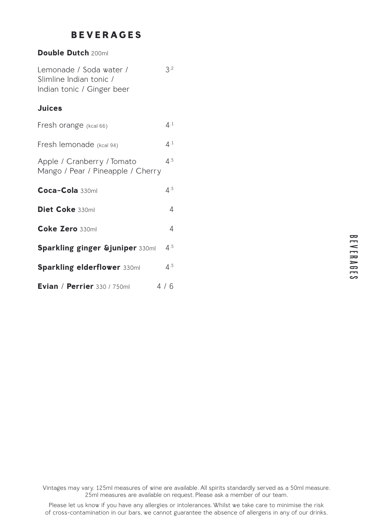## **BEVERAGES**

| Double Dutch 200ml                                                               |                |
|----------------------------------------------------------------------------------|----------------|
| Lemonade / Soda water /<br>Slimline Indian tonic /<br>Indian tonic / Ginger beer | 3.2            |
| <b>Juices</b>                                                                    |                |
| Fresh orange (kcal 66)                                                           | 4.1            |
| Fresh lemonade (kcal 94)                                                         | 4.1            |
| Apple / Cranberry / Tomato<br>Mango / Pear / Pineapple / Cherry                  | 4.5            |
| Coca-Cola 330ml                                                                  | 4.5            |
| Diet Coke 330ml                                                                  | $\overline{4}$ |
| Coke Zero 330ml                                                                  | $\overline{4}$ |
| <b>Sparkling ginger &amp;juniper 330ml</b>                                       | 4.5            |
| <b>Sparkling elderflower 330ml</b>                                               | 4.5            |
| Evian / Perrier 330 / 750ml                                                      | 4/6            |

B E V E R A G E S